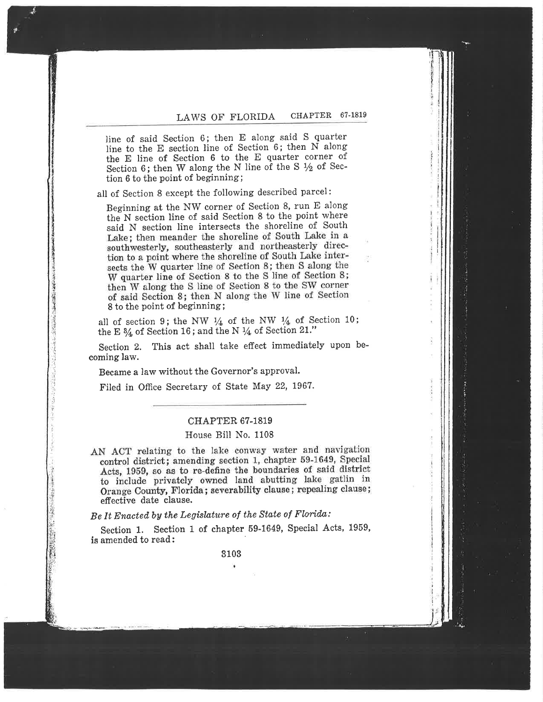# LAWS OF FLORIDA CHAPTER 67-1819

line of said Section 6; then E along said S quarter line to the E the E line of Section 6 to the E quarter corner of Section 6; then W along the N line of the S  $\frac{1}{2}$  of Section 6 to the point of beginning;  $\frac{1}{2}$ 

all of Section 8 except the following described parameters.

Beginning at the NW corner of Section 8, run E along the N section line of said Section 8 to the point where said N section line intersects the shoreline of South<br>Lake; then meander the shoreline of South Lake in a southwesterly, southeasterly and northeasterly direction to a point where the shoreline of South Lake intersects the W quarter line of Section 8; then S along the W quarter line of Section 8 to the S line of Section 8; then W along the S line of Section 8 to the SW corner of said Section 8; then N along the W line of Section 8 to the point of beginning;

all of section 9; the NW  $\frac{1}{4}$  of the NW  $\frac{1}{4}$  of Section 10; the E  $\frac{3}{4}$  of Section 16; and the N  $\frac{1}{4}$  of Section 21."

Section 2. This act shall take effect immediately upon becoming law.

Became a law without the Governor's approval.

Filed in Office Secretary of State May 22, 1967.

# CHAPTER 67-1819

# House Bill No. 1108

AN ACT relating to the lake conway water and navigation control district; amending section 1, chapter 59-1649, Special Acts, 1959, so as to re-define the boundaries of said district to include privately owned land abutting lake gatlin in Orange County, Florida; severability clause; repealing clause; effective date clause.

Be it Enacted by the Legislature of the State of Florida:

Section 1. Section 1 of chapter 59-1649, Special Acts, 1959, is amended to read:

3103